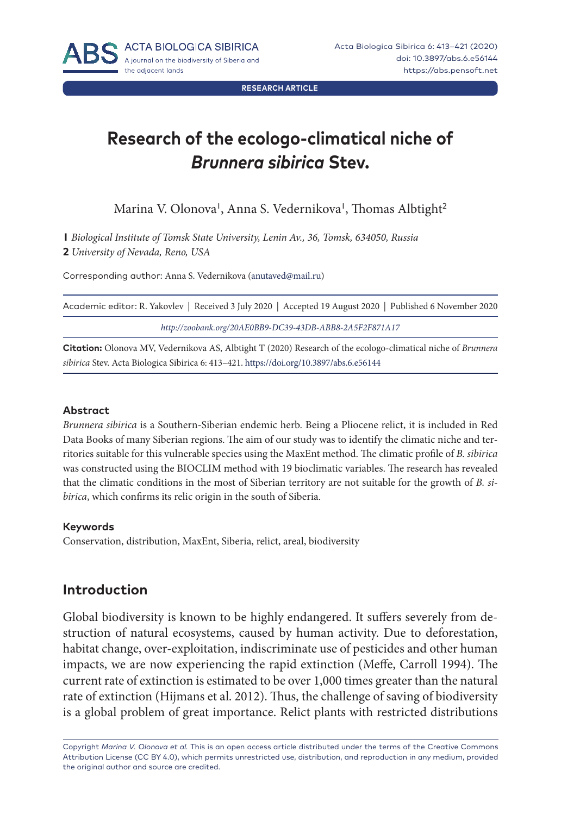**RESEARCH ARTICLE**

# **Research of the ecologo-climatical niche of**  *Brunnera sibirica* **Stev.**

Marina V. Olonova', Anna S. Vedernikova', Thomas Albtight<sup>2</sup>

**1** *Biological Institute of Tomsk State University, Lenin Av., 36, Tomsk, 634050, Russia*  **2** *University of Nevada, Reno, USA*

Corresponding author: Anna S. Vedernikova ([anutaved@mail.ru\)](mailto:anutaved%40mail.ru?subject=)

| Academic editor: R. Yakovlev   Received 3 July 2020   Accepted 19 August 2020   Published 6 November 2020 |  |
|-----------------------------------------------------------------------------------------------------------|--|
| http://zoobank.org/20AE0BB9-DC39-43DB-ABB8-2A5F2F871A17                                                   |  |

**Citation:** Olonova MV, Vedernikova AS, Albtight T (2020) Research of the ecologo-climatical niche of *Brunnera sibirica* Stev. Acta Biologica Sibirica 6: 413–421.<https://doi.org/10.3897/abs.6.e56144>

#### **Abstract**

*Brunnera sibirica* is a Southern-Siberian endemic herb. Being a Pliocene relict, it is included in Red Data Books of many Siberian regions. The aim of our study was to identify the climatic niche and territories suitable for this vulnerable species using the MaxEnt method. The climatic profile of *B. sibirica* was constructed using the BIOCLIM method with 19 bioclimatic variables. The research has revealed that the climatic conditions in the most of Siberian territory are not suitable for the growth of *B. sibirica*, which confirms its relic origin in the south of Siberia.

#### **Keywords**

Conservation, distribution, MaxEnt, Siberia, relict, areal, biodiversity

## **Introduction**

Global biodiversity is known to be highly endangered. It suffers severely from destruction of natural ecosystems, caused by human activity. Due to deforestation, habitat change, over-exploitation, indiscriminate use of pesticides and other human impacts, we are now experiencing the rapid extinction (Meffe, Carroll 1994). The current rate of extinction is estimated to be over 1,000 times greater than the natural rate of extinction (Hijmans et al. 2012). Thus, the challenge of saving of biodiversity is a global problem of great importance. Relict plants with restricted distributions

Copyright *Marina V. Olonova et al.* This is an open access article distributed under the terms of the [Creative Commons](http://creativecommons.org/licenses/by/4.0/)  [Attribution License \(CC BY 4.0\)](http://creativecommons.org/licenses/by/4.0/), which permits unrestricted use, distribution, and reproduction in any medium, provided the original author and source are credited.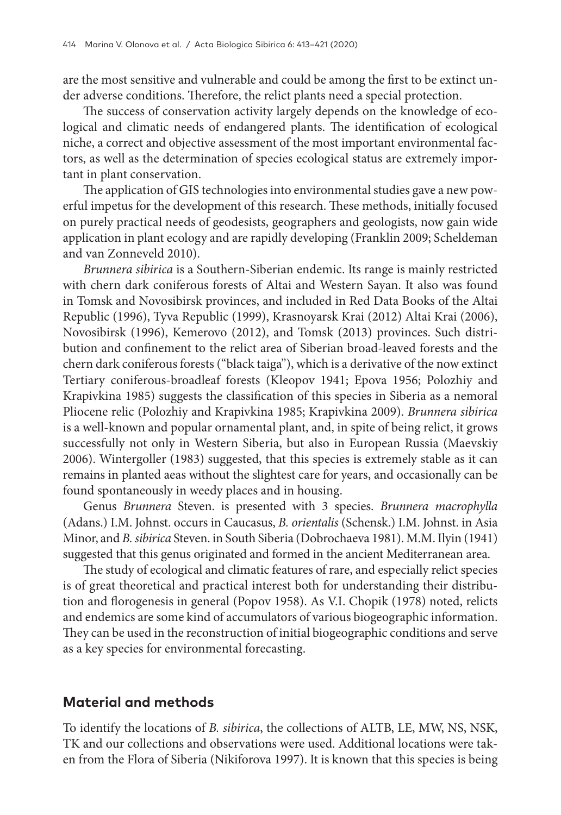are the most sensitive and vulnerable and could be among the first to be extinct under adverse conditions. Therefore, the relict plants need a special protection.

The success of conservation activity largely depends on the knowledge of ecological and climatic needs of endangered plants. The identification of ecological niche, a correct and objective assessment of the most important environmental factors, as well as the determination of species ecological status are extremely important in plant conservation.

The application of GIS technologies into environmental studies gave a new powerful impetus for the development of this research. These methods, initially focused on purely practical needs of geodesists, geographers and geologists, now gain wide application in plant ecology and are rapidly developing (Franklin 2009; Scheldeman and van Zonneveld 2010).

*Brunnera sibirica* is a Southern-Siberian endemic. Its range is mainly restricted with chern dark coniferous forests of Altai and Western Sayan. It also was found in Tomsk and Novosibirsk provinces, and included in Red Data Books of the Altai Republic (1996), Tyva Republic (1999), Krasnoyarsk Krai (2012) Altai Krai (2006), Novosibirsk (1996), Kemerovo (2012), and Tomsk (2013) provinces. Such distribution and confinement to the relict area of Siberian broad-leaved forests and the chern dark coniferous forests ("black taiga"), which is a derivative of the now extinct Tertiary coniferous-broadleaf forests (Kleopov 1941; Epova 1956; Polozhiy and Krapivkina 1985) suggests the classification of this species in Siberia as a nemoral Pliocene relic (Polozhiy and Krapivkina 1985; Krapivkina 2009). *Brunnera sibirica*  is a well-known and popular ornamental plant, and, in spite of being relict, it grows successfully not only in Western Siberia, but also in European Russia (Maevskiy 2006). Wintergoller (1983) suggested, that this species is extremely stable as it can remains in planted aeas without the slightest care for years, and occasionally can be found spontaneously in weedy places and in housing.

Genus *Brunnera* Steven. is presented with 3 species. *Brunnera macrophylla* (Adans.) I.M. Johnst. occurs in Caucasus, *B. orientalis* (Schensk.) I.M. Johnst. in Asia Minor, and *B. sibirica* Steven. in South Siberia (Dobrochaeva 1981). M.M. Ilyin (1941) suggested that this genus originated and formed in the ancient Mediterranean area.

The study of ecological and climatic features of rare, and especially relict species is of great theoretical and practical interest both for understanding their distribution and florogenesis in general (Popov 1958). As V.I. Chopik (1978) noted, relicts and endemics are some kind of accumulators of various biogeographic information. They can be used in the reconstruction of initial biogeographic conditions and serve as a key species for environmental forecasting.

#### **Material and methods**

To identify the locations of *B. sibirica*, the collections of ALTB, LE, MW, NS, NSK, TK and our collections and observations were used. Additional locations were taken from the Flora of Siberia (Nikiforova 1997). It is known that this species is being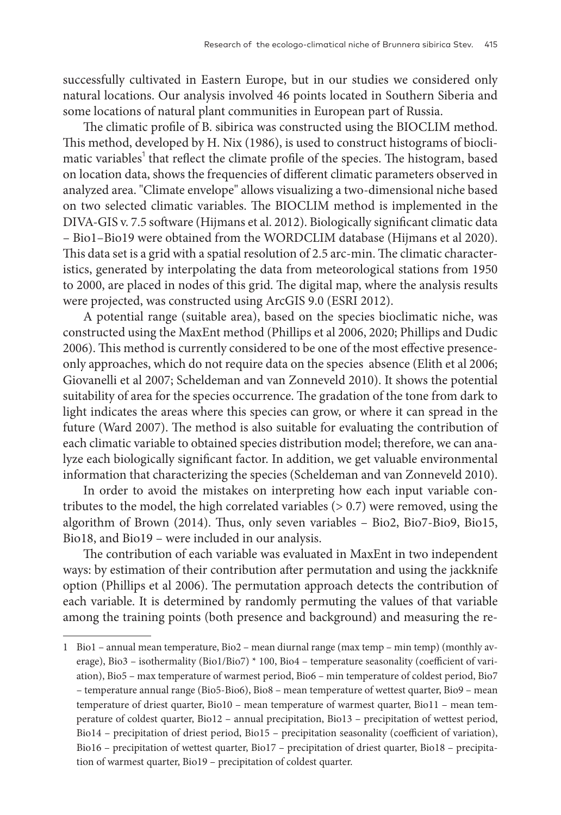successfully cultivated in Eastern Europe, but in our studies we considered only natural locations. Our analysis involved 46 points located in Southern Siberia and some locations of natural plant communities in European part of Russia.

The climatic profile of B. sibirica was constructed using the BIOCLIM method. This method, developed by H. Nix (1986), is used to construct histograms of bioclimatic variables<sup>1</sup> that reflect the climate profile of the species. The histogram, based on location data, shows the frequencies of different climatic parameters observed in analyzed area. "Climate envelope" allows visualizing a two-dimensional niche based on two selected climatic variables. The BIOCLIM method is implemented in the DIVA-GIS v. 7.5 software (Hijmans et al. 2012). Biologically significant climatic data – Bio1–Bio19 were obtained from the WORDCLIM database (Hijmans et al 2020). This data set is a grid with a spatial resolution of 2.5 arc-min. The climatic characteristics, generated by interpolating the data from meteorological stations from 1950 to 2000, are placed in nodes of this grid. The digital map, where the analysis results were projected, was constructed using ArcGIS 9.0 (ESRI 2012).

A potential range (suitable area), based on the species bioclimatic niche, was constructed using the MaxEnt method (Phillips et al 2006, 2020; Phillips and Dudic 2006). This method is currently considered to be one of the most effective presenceonly approaches, which do not require data on the species absence (Elith et al 2006; Giovanelli et al 2007; Scheldeman and van Zonneveld 2010). It shows the potential suitability of area for the species occurrence. The gradation of the tone from dark to light indicates the areas where this species can grow, or where it can spread in the future (Ward 2007). The method is also suitable for evaluating the contribution of each climatic variable to obtained species distribution model; therefore, we can analyze each biologically significant factor. In addition, we get valuable environmental information that characterizing the species (Scheldeman and van Zonneveld 2010).

In order to avoid the mistakes on interpreting how each input variable contributes to the model, the high correlated variables  $(> 0.7)$  were removed, using the algorithm of Brown (2014). Thus, only seven variables – Bio2, Bio7-Bio9, Bio15, Bio18, and Bio19 – were included in our analysis.

The contribution of each variable was evaluated in MaxEnt in two independent ways: by estimation of their contribution after permutation and using the jackknife option (Phillips et al 2006). The permutation approach detects the contribution of each variable. It is determined by randomly permuting the values of that variable among the training points (both presence and background) and measuring the re-

<sup>1</sup> Bio1 – annual mean temperature, Bio2 – mean diurnal range (max temp – min temp) (monthly average), Bio3 – isothermality (Bio1/Bio7) \* 100, Bio4 – temperature seasonality (coefficient of variation), Bio5 – max temperature of warmest period, Bio6 – min temperature of coldest period, Bio7 – temperature annual range (Bio5-Bio6), Bio8 – mean temperature of wettest quarter, Bio9 – mean temperature of driest quarter, Bio10 – mean temperature of warmest quarter, Bio11 – mean temperature of coldest quarter, Bio12 – annual precipitation, Bio13 – precipitation of wettest period, Bio14 – precipitation of driest period, Bio15 – precipitation seasonality (coefficient of variation), Bio16 – precipitation of wettest quarter, Bio17 – precipitation of driest quarter, Bio18 – precipitation of warmest quarter, Bio19 – precipitation of coldest quarter.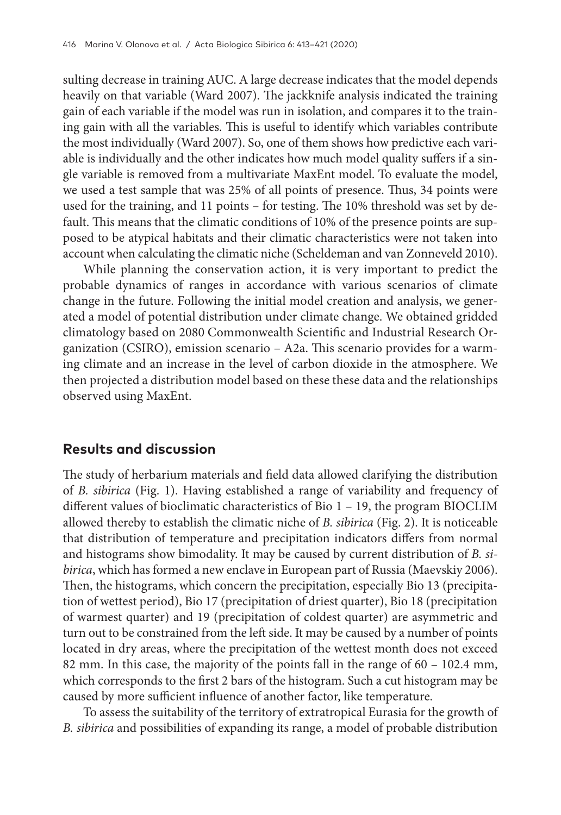sulting decrease in training AUC. A large decrease indicates that the model depends heavily on that variable (Ward 2007). The jackknife analysis indicated the training gain of each variable if the model was run in isolation, and compares it to the training gain with all the variables. This is useful to identify which variables contribute the most individually (Ward 2007). So, one of them shows how predictive each variable is individually and the other indicates how much model quality suffers if a single variable is removed from a multivariate MaxEnt model. To evaluate the model, we used a test sample that was 25% of all points of presence. Thus, 34 points were used for the training, and 11 points – for testing. The 10% threshold was set by default. This means that the climatic conditions of 10% of the presence points are supposed to be atypical habitats and their climatic characteristics were not taken into account when calculating the climatic niche (Scheldeman and van Zonneveld 2010).

While planning the conservation action, it is very important to predict the probable dynamics of ranges in accordance with various scenarios of climate change in the future. Following the initial model creation and analysis, we generated a model of potential distribution under climate change. We obtained gridded climatology based on 2080 Commonwealth Scientific and Industrial Research Organization (CSIRO), emission scenario – А2а. This scenario provides for a warming climate and an increase in the level of carbon dioxide in the atmosphere. We then projected a distribution model based on these these data and the relationships observed using MaxEnt.

### **Results and discussion**

The study of herbarium materials and field data allowed clarifying the distribution of *B. sibirica* (Fig. 1). Having established a range of variability and frequency of different values of bioclimatic characteristics of Bio 1 – 19, the program BIOCLIM allowed thereby to establish the climatic niche of *B. sibirica* (Fig. 2). It is noticeable that distribution of temperature and precipitation indicators differs from normal and histograms show bimodality. It may be caused by current distribution of *B. sibirica*, which has formed a new enclave in European part of Russia (Maevskiy 2006). Then, the histograms, which concern the precipitation, especially Bio 13 (precipitation of wettest period), Bio 17 (precipitation of driest quarter), Bio 18 (precipitation of warmest quarter) and 19 (precipitation of coldest quarter) are asymmetric and turn out to be constrained from the left side. It may be caused by a number of points located in dry areas, where the precipitation of the wettest month does not exceed 82 mm. In this case, the majority of the points fall in the range of 60 – 102.4 mm, which corresponds to the first 2 bars of the histogram. Such a cut histogram may be caused by more sufficient influence of another factor, like temperature.

To assess the suitability of the territory of extratropical Eurasia for the growth of *B. sibirica* and possibilities of expanding its range, a model of probable distribution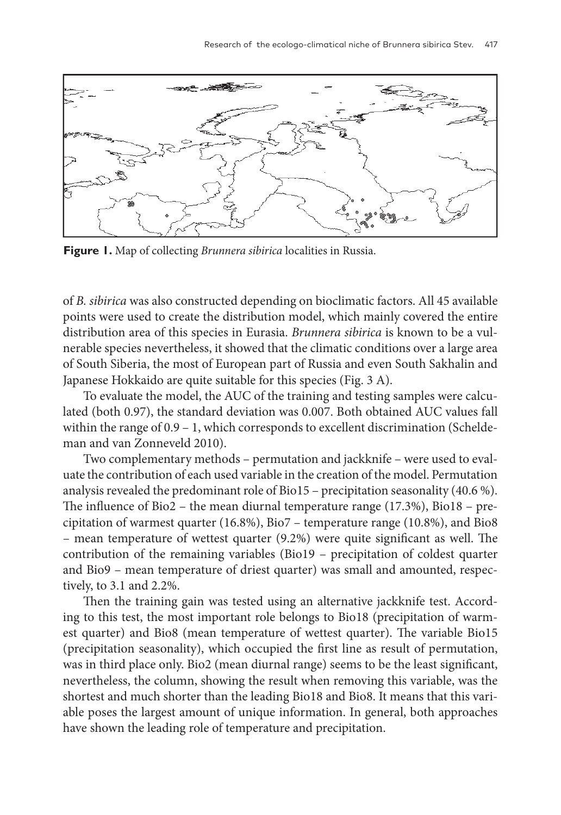

**Figure 1.** Map of collecting *Brunnera sibirica* localities in Russia.

of *B. sibirica* was also constructed depending on bioclimatic factors. All 45 available points were used to create the distribution model, which mainly covered the entire distribution area of this species in Eurasia. *Brunnera sibirica* is known to be a vulnerable species nevertheless, it showed that the climatic conditions over a large area of South Siberia, the most of European part of Russia and even South Sakhalin and Japanese Hokkaido are quite suitable for this species (Fig. 3 A).

To evaluate the model, the AUC of the training and testing samples were calculated (both 0.97), the standard deviation was 0.007. Both obtained AUC values fall within the range of 0.9 – 1, which corresponds to excellent discrimination (Scheldeman and van Zonneveld 2010).

Two complementary methods – permutation and jackknife – were used to evaluate the contribution of each used variable in the creation of the model. Permutation analysis revealed the predominant role of Bio15 – precipitation seasonality (40.6 %). The influence of Bio2 – the mean diurnal temperature range (17.3%), Bio18 – precipitation of warmest quarter (16.8%), Bio7 – temperature range (10.8%), and Bio8 – mean temperature of wettest quarter (9.2%) were quite significant as well. The contribution of the remaining variables (Bio19 – precipitation of coldest quarter and Bio9 – mean temperature of driest quarter) was small and amounted, respectively, to 3.1 and 2.2%.

Then the training gain was tested using an alternative jackknife test. According to this test, the most important role belongs to Bio18 (precipitation of warmest quarter) and Bio8 (mean temperature of wettest quarter). The variable Bio15 (precipitation seasonality), which occupied the first line as result of permutation, was in third place only. Bio2 (mean diurnal range) seems to be the least significant, nevertheless, the column, showing the result when removing this variable, was the shortest and much shorter than the leading Bio18 and Bio8. It means that this variable poses the largest amount of unique information. In general, both approaches have shown the leading role of temperature and precipitation.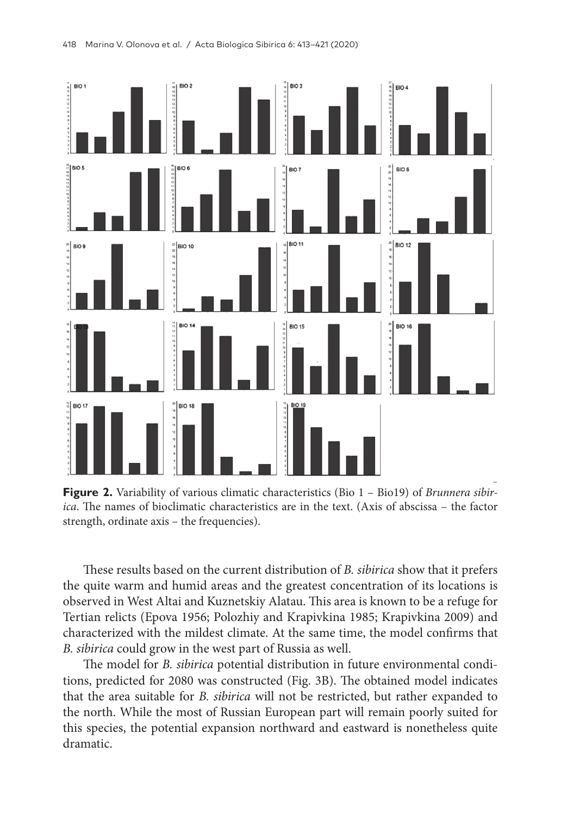

**Figure 2.** Variability of various climatic characteristics (Bio 1 – Bio19) of *Brunnera sibirica*. The names of bioclimatic characteristics are in the text. (Axis of abscissa – the factor strength, ordinate axis – the frequencies).

These results based on the current distribution of *B. sibirica* show that it prefers the quite warm and humid areas and the greatest concentration of its locations is observed in West Altai and Kuznetskiy Alatau. This area is known to be a refuge for Tertian relicts (Epova 1956; Polozhiy and Krapivkina 1985; Krapivkina 2009) and characterized with the mildest climate. At the same time, the model confirms that *B. sibirica* could grow in the west part of Russia as well.

The model for *B. sibirica* potential distribution in future environmental conditions, predicted for 2080 was constructed (Fig. 3B). The obtained model indicates that the area suitable for *B. sibirica* will not be restricted, but rather expanded to the north. While the most of Russian European part will remain poorly suited for this species, the potential expansion northward and eastward is nonetheless quite dramatic.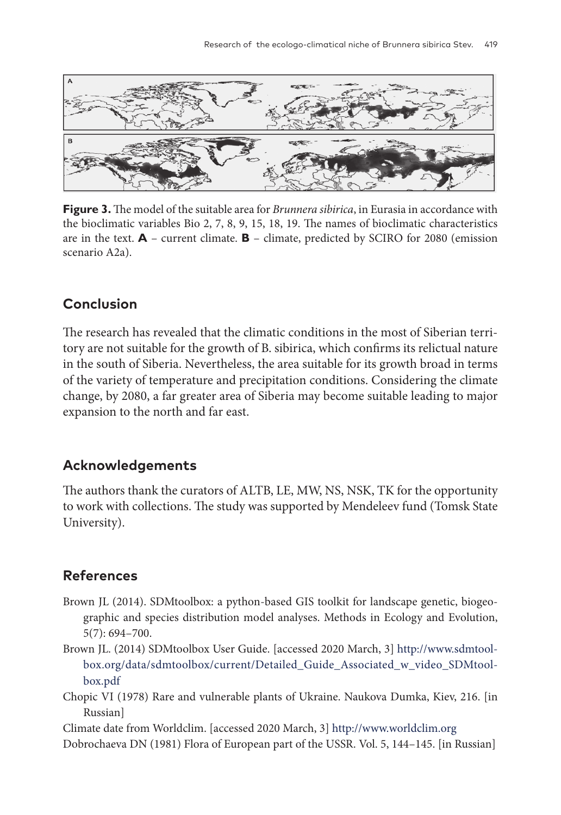

**Figure 3.** The model of the suitable area for *Brunnera sibirica*, in Eurasia in accordance with the bioclimatic variables Bio 2, 7, 8, 9, 15, 18, 19. The names of bioclimatic characteristics are in the text. **A** – current climate. **B** – climate, predicted by SCIRO for 2080 (emission scenario A2a).

## **Conclusion**

The research has revealed that the climatic conditions in the most of Siberian territory are not suitable for the growth of B. sibirica, which confirms its relictual nature in the south of Siberia. Nevertheless, the area suitable for its growth broad in terms of the variety of temperature and precipitation conditions. Considering the climate change, by 2080, a far greater area of Siberia may become suitable leading to major expansion to the north and far east.

## **Acknowledgements**

The authors thank the curators of ALTB, LE, MW, NS, NSK, TK for the opportunity to work with collections. The study was supported by Mendeleev fund (Tomsk State University).

# **References**

- Brown JL (2014). SDMtoolbox: a python-based GIS toolkit for landscape genetic, biogeographic and species distribution model analyses. Methods in Ecology and Evolution, 5(7): 694–700.
- Brown JL. (2014) SDMtoolbox User Guide. [accessed 2020 March, 3] [http://www.sdmtool](http://www.sdmtoolbox.org/data/sdmtoolbox/current/Detailed_Guide_Associated_w_video_SDMtoolbox.pdf)[box.org/data/sdmtoolbox/current/Detailed\\_Guide\\_Associated\\_w\\_video\\_SDMtool](http://www.sdmtoolbox.org/data/sdmtoolbox/current/Detailed_Guide_Associated_w_video_SDMtoolbox.pdf)[box.pdf](http://www.sdmtoolbox.org/data/sdmtoolbox/current/Detailed_Guide_Associated_w_video_SDMtoolbox.pdf)
- Chopic VI (1978) Rare and vulnerable plants of Ukraine. Naukova Dumka, Kiev, 216. [in Russian]

Climate date from Worldclim. [accessed 2020 March, 3] [http://www.worldclim.org](http://www.worldclim.org
) Dobrochaeva DN (1981) Flora of European part of the USSR. Vol. 5, 144–145. [in Russian]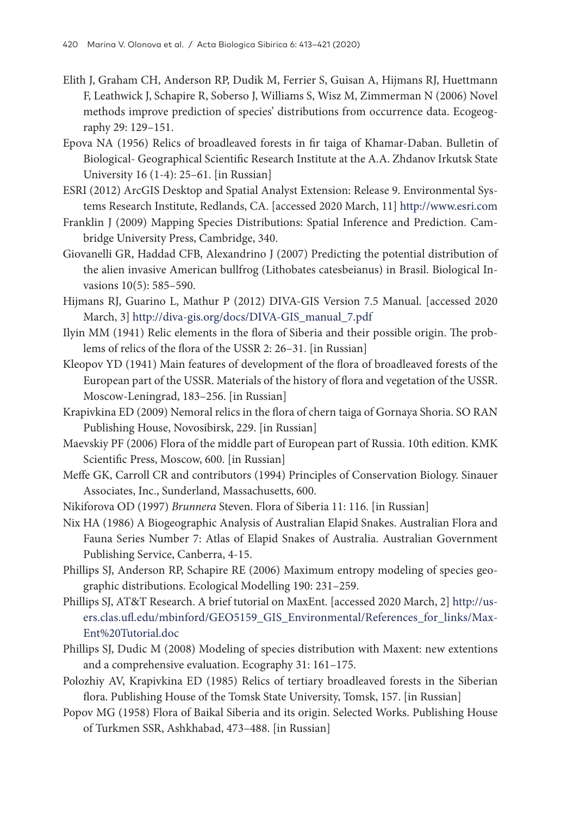- Elith J, Graham CH, Anderson RP, Dudik M, Ferrier S, Guisan A, Hijmans RJ, Huettmann F, Leathwick J, Schapire R, Soberso J, Williams S, Wisz M, Zimmerman N (2006) Novel methods improve prediction of species' distributions from occurrence data. Ecogeography 29: 129–151.
- Epova NA (1956) Relics of broadleaved forests in fir taiga of Khamar-Daban. Bulletin of Biological- Geographical Scientific Research Institute at the A.A. Zhdanov Irkutsk State University 16 (1-4): 25–61. [in Russian]
- ESRI (2012) ArcGIS Desktop and Spatial Analyst Extension: Release 9. Environmental Systems Research Institute, Redlands, CA. [accessed 2020 March, 11] <http://www.esri.com>
- Franklin J (2009) Mapping Species Distributions: Spatial Inference and Prediction. Cambridge University Press, Cambridge, 340.
- Giovanelli GR, Haddad CFB, Alexandrino J (2007) Predicting the potential distribution of the alien invasive American bullfrog (Lithobates catesbeianus) in Brasil. Biological Invasions 10(5): 585–590.
- Hijmans RJ, Guarino L, Mathur P (2012) DIVA-GIS Version 7.5 Manual. [accessed 2020 March, 3] [http://diva-gis.org/docs/DIVA-GIS\\_manual\\_7.pdf](http://diva-gis.org/docs/DIVA-GIS_manual_7.pdf
)
- Ilyin MM (1941) Relic elements in the flora of Siberia and their possible origin. The problems of relics of the flora of the USSR 2: 26–31. [in Russian]
- Kleopov YD (1941) Main features of development of the flora of broadleaved forests of the European part of the USSR. Materials of the history of flora and vegetation of the USSR. Moscow-Leningrad, 183–256. [in Russian]
- Krapivkina ED (2009) Nemoral relics in the flora of chern taiga of Gornaya Shoria. SO RAN Publishing House, Novosibirsk, 229. [in Russian]
- Maevskiy PF (2006) Flora of the middle part of European part of Russia. 10th edition. KMK Scientific Press, Moscow, 600. [in Russian]
- Meffe GK, Carroll CR and contributors (1994) Principles of Conservation Biology. Sinauer Associates, Inc., Sunderland, Massachusetts, 600.
- Nikiforova OD (1997) *Brunnera* Steven. Flora of Siberia 11: 116. [in Russian]
- Nix HA (1986) A Biogeographic Analysis of Australian Elapid Snakes. Australian Flora and Fauna Series Number 7: Atlas of Elapid Snakes of Australia. Australian Government Publishing Service, Canberra, 4-15.
- Phillips SJ, Anderson RP, Schapire RE (2006) Maximum entropy modeling of species geographic distributions. Ecological Modelling 190: 231–259.
- Phillips SJ, AT&T Research. A brief tutorial on MaxEnt. [accessed 2020 March, 2] [http://us](http://users.clas.ufl.edu/mbinford/GEO5159_GIS_Environmental/References_for_links/MaxEnt%20Tutorial.doc)[ers.clas.ufl.edu/mbinford/GEO5159\\_GIS\\_Environmental/References\\_for\\_links/Max-](http://users.clas.ufl.edu/mbinford/GEO5159_GIS_Environmental/References_for_links/MaxEnt%20Tutorial.doc)[Ent%20Tutorial.doc](http://users.clas.ufl.edu/mbinford/GEO5159_GIS_Environmental/References_for_links/MaxEnt%20Tutorial.doc)
- Phillips SJ, Dudic M (2008) Modeling of species distribution with Maxent: new extentions and a comprehensive evaluation. Ecography 31: 161–175.
- Polozhiy AV, Krapivkina ED (1985) Relics of tertiary broadleaved forests in the Siberian flora. Publishing House of the Tomsk State University, Tomsk, 157. [in Russian]
- Popov MG (1958) Flora of Baikal Siberia and its origin. Selected Works. Publishing House of Turkmen SSR, Ashkhabad, 473–488. [in Russian]